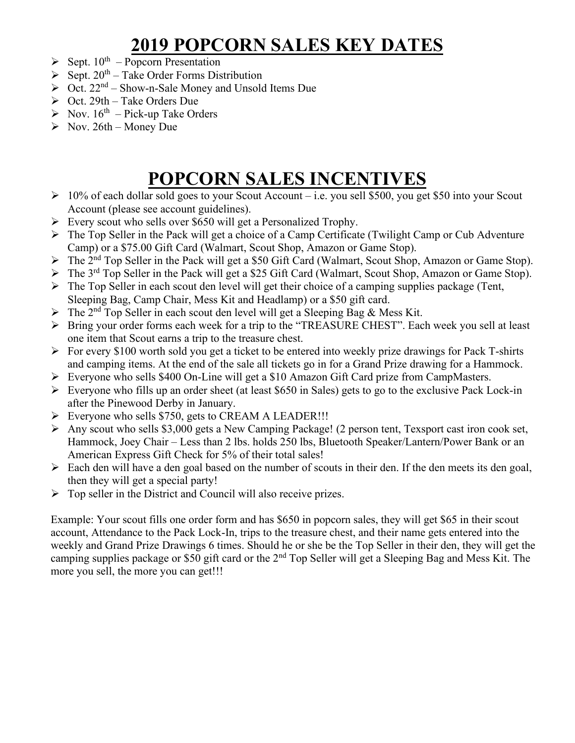## **2019 POPCORN SALES KEY DATES**

- $\triangleright$  Sept. 10<sup>th</sup> Popcorn Presentation
- $\triangleright$  Sept. 20<sup>th</sup> Take Order Forms Distribution
- $\geqslant$  Oct. 22<sup>nd</sup> Show-n-Sale Money and Unsold Items Due
- $\triangleright$  Oct. 29th Take Orders Due
- $\triangleright$  Nov. 16<sup>th</sup> Pick-up Take Orders
- $\triangleright$  Nov. 26th Money Due

## **POPCORN SALES INCENTIVES**

- $\geq 10\%$  of each dollar sold goes to your Scout Account i.e. you sell \$500, you get \$50 into your Scout Account (please see account guidelines).
- Every scout who sells over \$650 will get a Personalized Trophy.
- The Top Seller in the Pack will get a choice of a Camp Certificate (Twilight Camp or Cub Adventure Camp) or a \$75.00 Gift Card (Walmart, Scout Shop, Amazon or Game Stop).
- $\triangleright$  The 2<sup>nd</sup> Top Seller in the Pack will get a \$50 Gift Card (Walmart, Scout Shop, Amazon or Game Stop).
- $\triangleright$  The 3<sup>rd</sup> Top Seller in the Pack will get a \$25 Gift Card (Walmart, Scout Shop, Amazon or Game Stop).
- $\triangleright$  The Top Seller in each scout den level will get their choice of a camping supplies package (Tent, Sleeping Bag, Camp Chair, Mess Kit and Headlamp) or a \$50 gift card.
- $\triangleright$  The 2<sup>nd</sup> Top Seller in each scout den level will get a Sleeping Bag & Mess Kit.
- Bring your order forms each week for a trip to the "TREASURE CHEST". Each week you sell at least one item that Scout earns a trip to the treasure chest.
- $\triangleright$  For every \$100 worth sold you get a ticket to be entered into weekly prize drawings for Pack T-shirts and camping items. At the end of the sale all tickets go in for a Grand Prize drawing for a Hammock.
- Everyone who sells \$400 On-Line will get a \$10 Amazon Gift Card prize from CampMasters.
- Everyone who fills up an order sheet (at least \$650 in Sales) gets to go to the exclusive Pack Lock-in after the Pinewood Derby in January.
- $\triangleright$  Everyone who sells \$750, gets to CREAM A LEADER!!!
- $\triangleright$  Any scout who sells \$3,000 gets a New Camping Package! (2 person tent, Texsport cast iron cook set, Hammock, Joey Chair – Less than 2 lbs. holds 250 lbs, Bluetooth Speaker/Lantern/Power Bank or an American Express Gift Check for 5% of their total sales!
- $\triangleright$  Each den will have a den goal based on the number of scouts in their den. If the den meets its den goal, then they will get a special party!
- $\triangleright$  Top seller in the District and Council will also receive prizes.

Example: Your scout fills one order form and has \$650 in popcorn sales, they will get \$65 in their scout account, Attendance to the Pack Lock-In, trips to the treasure chest, and their name gets entered into the weekly and Grand Prize Drawings 6 times. Should he or she be the Top Seller in their den, they will get the camping supplies package or \$50 gift card or the 2<sup>nd</sup> Top Seller will get a Sleeping Bag and Mess Kit. The more you sell, the more you can get!!!